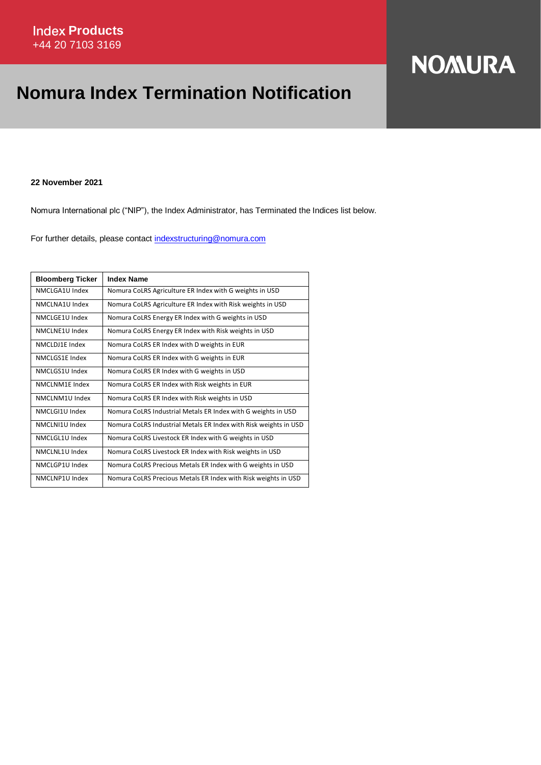## **NOMURA**

## **Nomura Index Termination Notification**

**22 November 2021**

Nomura International plc ("NIP"), the Index Administrator, has Terminated the Indices list below.

For further details, please contact [indexstructuring@nomura.com](mailto:indexstructuring@nomura.com)

| <b>Bloomberg Ticker</b> | <b>Index Name</b>                                                |
|-------------------------|------------------------------------------------------------------|
| NMCLGA1U Index          | Nomura CoLRS Agriculture ER Index with G weights in USD          |
| NMCLNA1U Index          | Nomura CoLRS Agriculture ER Index with Risk weights in USD       |
| NMCLGE1U Index          | Nomura CoLRS Energy ER Index with G weights in USD               |
| NMCLNF1U Index          | Nomura CoLRS Energy ER Index with Risk weights in USD            |
| NMCLDJ1E Index          | Nomura CoLRS ER Index with D weights in EUR                      |
| NMCLGS1E Index          | Nomura CoLRS ER Index with G weights in EUR                      |
| NMCLGS1U Index          | Nomura CoLRS ER Index with G weights in USD                      |
| NMCLNM1E Index          | Nomura CoLRS ER Index with Risk weights in EUR                   |
| NMCLNM1U Index          | Nomura CoLRS ER Index with Risk weights in USD                   |
| NMCLGI1U Index          | Nomura CoLRS Industrial Metals ER Index with G weights in USD    |
| NMCLNI1U Index          | Nomura CoLRS Industrial Metals ER Index with Risk weights in USD |
| NMCLGL1U Index          | Nomura CoLRS Livestock ER Index with G weights in USD            |
| NMCLNL1U Index          | Nomura CoLRS Livestock ER Index with Risk weights in USD         |
| NMCLGP1U Index          | Nomura CoLRS Precious Metals ER Index with G weights in USD      |
| NMCLNP1U Index          | Nomura CoLRS Precious Metals ER Index with Risk weights in USD   |